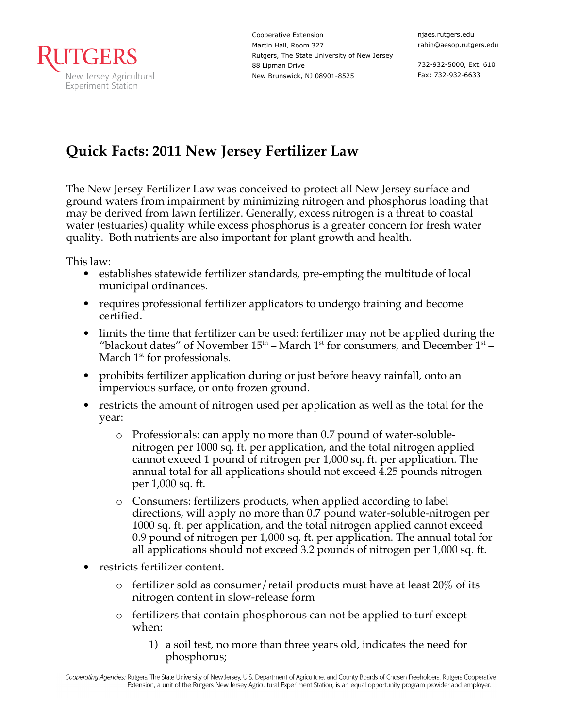

Cooperative Extension Martin Hall, Room 327 Rutgers, The State University of New Jersey 88 Lipman Drive New Brunswick, NJ 08901-8525

732-932-5000, Ext. 610 Fax: 732-932-6633

## **Quick Facts: 2011 New Jersey Fertilizer Law**

The New Jersey Fertilizer Law was conceived to protect all New Jersey surface and ground waters from impairment by minimizing nitrogen and phosphorus loading that may be derived from lawn fertilizer. Generally, excess nitrogen is a threat to coastal water (estuaries) quality while excess phosphorus is a greater concern for fresh water quality. Both nutrients are also important for plant growth and health.

This law:

- establishes statewide fertilizer standards, pre-empting the multitude of local municipal ordinances.
- requires professional fertilizer applicators to undergo training and become certified.
- limits the time that fertilizer can be used: fertilizer may not be applied during the "blackout dates" of November  $15<sup>th</sup>$  – March  $1<sup>st</sup>$  for consumers, and December  $1<sup>st</sup>$  – March  $1<sup>st</sup>$  for professionals.
- prohibits fertilizer application during or just before heavy rainfall, onto an impervious surface, or onto frozen ground.
- restricts the amount of nitrogen used per application as well as the total for the year:
	- o Professionals: can apply no more than 0.7 pound of water-solublenitrogen per 1000 sq. ft. per application, and the total nitrogen applied cannot exceed 1 pound of nitrogen per 1,000 sq. ft. per application. The annual total for all applications should not exceed 4.25 pounds nitrogen per 1,000 sq. ft.
	- o Consumers: fertilizers products, when applied according to label directions, will apply no more than 0.7 pound water-soluble-nitrogen per 1000 sq. ft. per application, and the total nitrogen applied cannot exceed 0.9 pound of nitrogen per 1,000 sq. ft. per application. The annual total for all applications should not exceed 3.2 pounds of nitrogen per 1,000 sq. ft.
- restricts fertilizer content.
	- $\circ$  fertilizer sold as consumer/retail products must have at least 20% of its nitrogen content in slow-release form
	- o fertilizers that contain phosphorous can not be applied to turf except when:
		- 1) a soil test, no more than three years old, indicates the need for phosphorus;